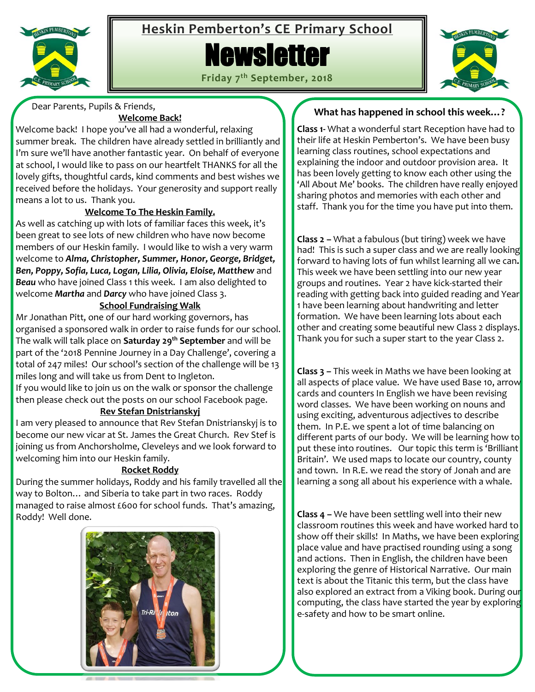

# **Heskin Pemberton's CE Primary School**

# **Newsletter**

**Friday 7 th September, 2018**



Dear Parents, Pupils & Friends,

### **Welcome Back!**

Welcome back! I hope you've all had a wonderful, relaxing summer break. The children have already settled in brilliantly and I'm sure we'll have another fantastic year. On behalf of everyone at school, I would like to pass on our heartfelt THANKS for all the lovely gifts, thoughtful cards, kind comments and best wishes we received before the holidays. Your generosity and support really means a lot to us. Thank you.

# **Welcome To The Heskin Family.**

As well as catching up with lots of familiar faces this week, it's been great to see lots of new children who have now become members of our Heskin family. I would like to wish a very warm welcome to *Alma, Christopher, Summer, Honor, George, Bridget, Ben, Poppy, Sofia, Luca, Logan, Lilia, Olivia, Eloise, Matthew* and *Beau* who have joined Class 1 this week. I am also delighted to welcome *Martha* and *Darcy* who have joined Class 3.

# **School Fundraising Walk**

Mr Jonathan Pitt, one of our hard working governors, has organised a sponsored walk in order to raise funds for our school. The walk will talk place on **Saturday 29th September** and will be part of the '2018 Pennine Journey in a Day Challenge', covering a total of 247 miles! Our school's section of the challenge will be 13 miles long and will take us from Dent to Ingleton.

If you would like to join us on the walk or sponsor the challenge then please check out the posts on our school Facebook page.

## **Rev Stefan Dnistrianskyj**

I am very pleased to announce that Rev Stefan Dnistrianskyj is to become our new vicar at St. James the Great Church. Rev Stef is joining us from Anchorsholme, Cleveleys and we look forward to welcoming him into our Heskin family.

## **Rocket Roddy**

During the summer holidays, Roddy and his family travelled all the way to Bolton… and Siberia to take part in two races. Roddy managed to raise almost £600 for school funds. That's amazing, Roddy! Well done.



# **What has happened in school this week…?**

**Class 1-** What a wonderful start Reception have had to their life at Heskin Pemberton's. We have been busy learning class routines, school expectations and explaining the indoor and outdoor provision area. It has been lovely getting to know each other using the 'All About Me' books. The children have really enjoyed sharing photos and memories with each other and staff. Thank you for the time you have put into them.

**Class 2 –** What a fabulous (but tiring) week we have had! This is such a super class and we are really looking forward to having lots of fun whilst learning all we can**.**  This week we have been settling into our new year groups and routines. Year 2 have kick-started their reading with getting back into guided reading and Year 1 have been learning about handwriting and letter formation. We have been learning lots about each other and creating some beautiful new Class 2 displays. Thank you for such a super start to the year Class 2.

**Class 3 –** This week in Maths we have been looking at all aspects of place value. We have used Base 10, arrow cards and counters In English we have been revising word classes. We have been working on nouns and using exciting, adventurous adjectives to describe them. In P.E. we spent a lot of time balancing on different parts of our body. We will be learning how to put these into routines. Our topic this term is 'Brilliant Britain'. We used maps to locate our country, county and town. In R.E. we read the story of Jonah and are learning a song all about his experience with a whale.

**Class 4 –** We have been settling well into their new classroom routines this week and have worked hard to show off their skills! In Maths, we have been exploring place value and have practised rounding using a song and actions. Then in English, the children have been exploring the genre of Historical Narrative. Our main text is about the Titanic this term, but the class have also explored an extract from a Viking book. During our computing, the class have started the year by exploring e-safety and how to be smart online.